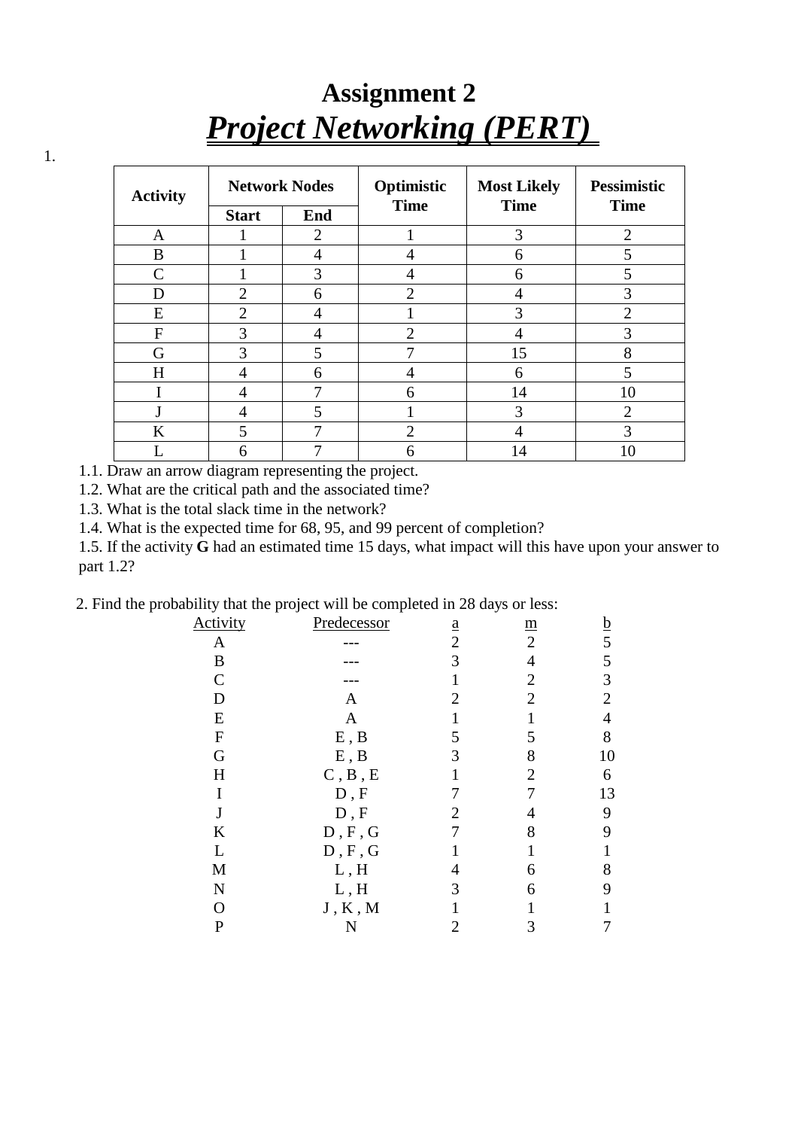## **Assignment 2** *Project Networking (PERT)*

| <b>Activity</b> | <b>Network Nodes</b> |                | Optimistic<br><b>Time</b> | <b>Most Likely</b><br><b>Time</b> | <b>Pessimistic</b><br><b>Time</b> |
|-----------------|----------------------|----------------|---------------------------|-----------------------------------|-----------------------------------|
|                 | <b>Start</b>         | End            |                           |                                   |                                   |
| A               |                      | $\mathfrak{D}$ |                           | 3                                 | $\overline{2}$                    |
| B               |                      | 4              |                           | 6                                 | 5                                 |
| $\mathsf{C}$    |                      | 3              |                           | 6                                 | 5                                 |
| D               | $\overline{2}$       | 6              | $\overline{2}$            | 4                                 | 3                                 |
| E               | $\overline{2}$       | 4              |                           | 3                                 | 2                                 |
| F               | 3                    | 4              | $\overline{2}$            |                                   | 3                                 |
| G               | 3                    | 5              |                           | 15                                | 8                                 |
| H               | 4                    | 6              | 4                         | 6                                 | 5                                 |
|                 | 4                    |                | 6                         | 14                                | 10                                |
|                 | 4                    | 5              |                           | 3                                 | $\overline{2}$                    |
| K               | 5                    | ⇁              | $\overline{2}$            |                                   | 3                                 |
|                 | n                    |                | n                         | 14                                | 10                                |

1.1. Draw an arrow diagram representing the project.

1.2. What are the critical path and the associated time?

1.3. What is the total slack time in the network?

1.4. What is the expected time for 68, 95, and 99 percent of completion?

1.5. If the activity **G** had an estimated time 15 days, what impact will this have upon your answer to part 1.2?

2. Find the probability that the project will be completed in 28 days or less:

| <b>Activity</b>  | Predecessor | $\underline{\mathbf{a}}$ | $\underline{m}$ | $\underline{b}$ |
|------------------|-------------|--------------------------|-----------------|-----------------|
| A                |             | $\overline{2}$           | $\overline{2}$  | 5               |
| $\boldsymbol{B}$ |             | 3                        | 4               | 5               |
| $\mathcal{C}$    |             |                          | 2               | 3               |
| D                | A           | $\overline{2}$           | $\overline{2}$  | $\overline{2}$  |
| E                | A           |                          |                 | 4               |
| ${\bf F}$        | E, B        | 5                        | 5               | 8               |
| G                | E, B        | 3                        | 8               | 10              |
| H                | C, B, E     |                          | 2               | 6               |
| I                | D, F        |                          |                 | 13              |
| $\mathbf J$      | $D, F$      | 2                        |                 | 9               |
| $\rm K$          | D, F, G     | 7                        | 8               | 9               |
| L                | D, F, G     |                          |                 | 1               |
| M                | L, H        |                          | 6               | 8               |
| $\mathbf N$      | L, H        | 3                        | 6               | 9               |
| O                | J, K, M     |                          |                 |                 |
| $\mathbf P$      | N           | 2                        | 3               | 7               |

1.